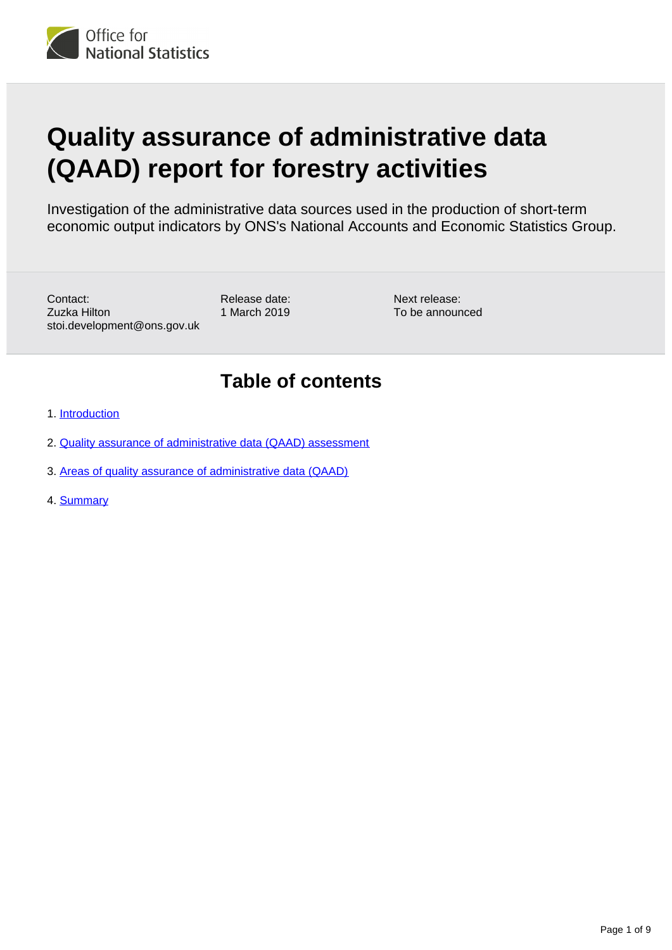

# **Quality assurance of administrative data (QAAD) report for forestry activities**

Investigation of the administrative data sources used in the production of short-term economic output indicators by ONS's National Accounts and Economic Statistics Group.

Contact: Zuzka Hilton stoi.development@ons.gov.uk Release date: 1 March 2019 Next release: To be announced

### **Table of contents**

- 1. [Introduction](#page-1-0)
- 2. [Quality assurance of administrative data \(QAAD\) assessment](#page-2-0)
- 3. [Areas of quality assurance of administrative data \(QAAD\)](#page-4-0)
- 4. [Summary](#page-8-0)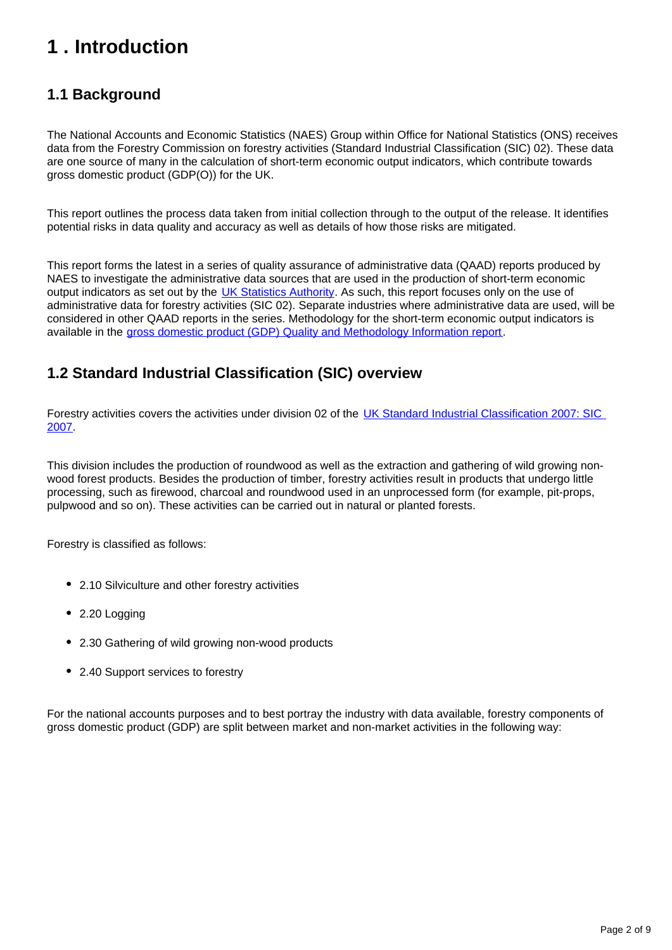## <span id="page-1-0"></span>**1 . Introduction**

### **1.1 Background**

The National Accounts and Economic Statistics (NAES) Group within Office for National Statistics (ONS) receives data from the Forestry Commission on forestry activities (Standard Industrial Classification (SIC) 02). These data are one source of many in the calculation of short-term economic output indicators, which contribute towards gross domestic product (GDP(O)) for the UK.

This report outlines the process data taken from initial collection through to the output of the release. It identifies potential risks in data quality and accuracy as well as details of how those risks are mitigated.

This report forms the latest in a series of quality assurance of administrative data (QAAD) reports produced by NAES to investigate the administrative data sources that are used in the production of short-term economic output indicators as set out by the [UK Statistics Authority.](https://www.statisticsauthority.gov.uk/osr/monitoring/administrative-data-and-official-statistics/) As such, this report focuses only on the use of administrative data for forestry activities (SIC 02). Separate industries where administrative data are used, will be considered in other QAAD reports in the series. Methodology for the short-term economic output indicators is available in the [gross domestic product \(GDP\) Quality and Methodology Information report](https://www.ons.gov.uk/economy/grossdomesticproductgdp/methodologies/grossdomesticproductgdpqmi).

#### **1.2 Standard Industrial Classification (SIC) overview**

Forestry activities covers the activities under division 02 of the [UK Standard Industrial Classification 2007: SIC](https://www.ons.gov.uk/methodology/classificationsandstandards/ukstandardindustrialclassificationofeconomicactivities/uksic2007)  [2007](https://www.ons.gov.uk/methodology/classificationsandstandards/ukstandardindustrialclassificationofeconomicactivities/uksic2007).

This division includes the production of roundwood as well as the extraction and gathering of wild growing nonwood forest products. Besides the production of timber, forestry activities result in products that undergo little processing, such as firewood, charcoal and roundwood used in an unprocessed form (for example, pit-props, pulpwood and so on). These activities can be carried out in natural or planted forests.

Forestry is classified as follows:

- 2.10 Silviculture and other forestry activities
- 2.20 Logging
- 2.30 Gathering of wild growing non-wood products
- 2.40 Support services to forestry

For the national accounts purposes and to best portray the industry with data available, forestry components of gross domestic product (GDP) are split between market and non-market activities in the following way: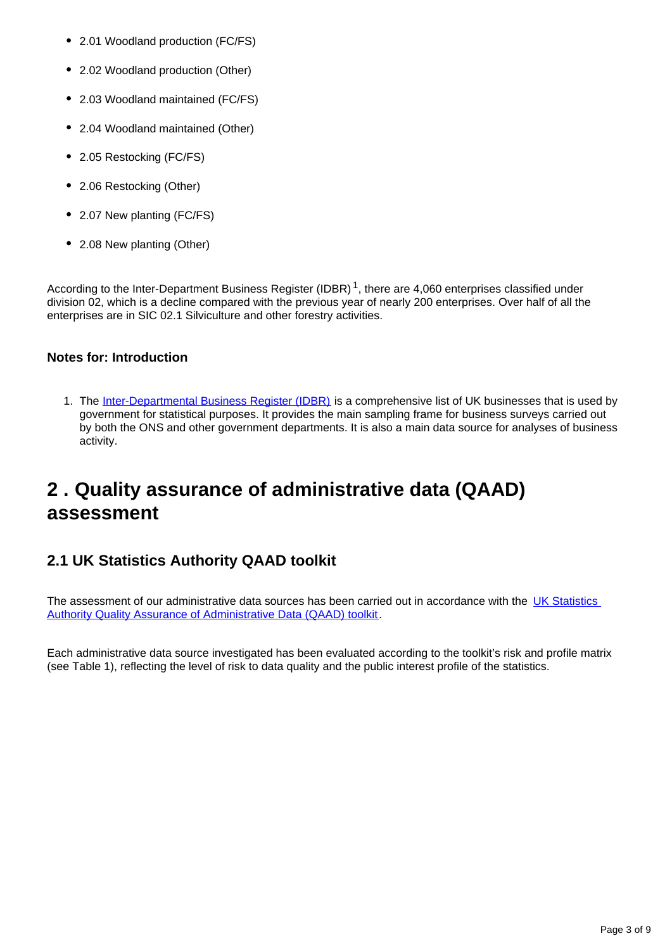- 2.01 Woodland production (FC/FS)
- 2.02 Woodland production (Other)
- 2.03 Woodland maintained (FC/FS)
- 2.04 Woodland maintained (Other)
- 2.05 Restocking (FC/FS)
- 2.06 Restocking (Other)
- 2.07 New planting (FC/FS)
- 2.08 New planting (Other)

According to the Inter-Department Business Register (IDBR)<sup>1</sup>, there are 4,060 enterprises classified under division 02, which is a decline compared with the previous year of nearly 200 enterprises. Over half of all the enterprises are in SIC 02.1 Silviculture and other forestry activities.

#### **Notes for: Introduction**

1. The [Inter-Departmental Business Register \(IDBR\)](http://www.ons.gov.uk/ons/about-ons/products-and-services/idbr/index.html) is a comprehensive list of UK businesses that is used by government for statistical purposes. It provides the main sampling frame for business surveys carried out by both the ONS and other government departments. It is also a main data source for analyses of business activity.

### <span id="page-2-0"></span>**2 . Quality assurance of administrative data (QAAD) assessment**

### **2.1 UK Statistics Authority QAAD toolkit**

The assessment of our administrative data sources has been carried out in accordance with the UK Statistics [Authority Quality Assurance of Administrative Data \(QAAD\) toolkit.](https://www.statisticsauthority.gov.uk/publication/administrative-data-quality-assurance-toolkit/)

Each administrative data source investigated has been evaluated according to the toolkit's risk and profile matrix (see Table 1), reflecting the level of risk to data quality and the public interest profile of the statistics.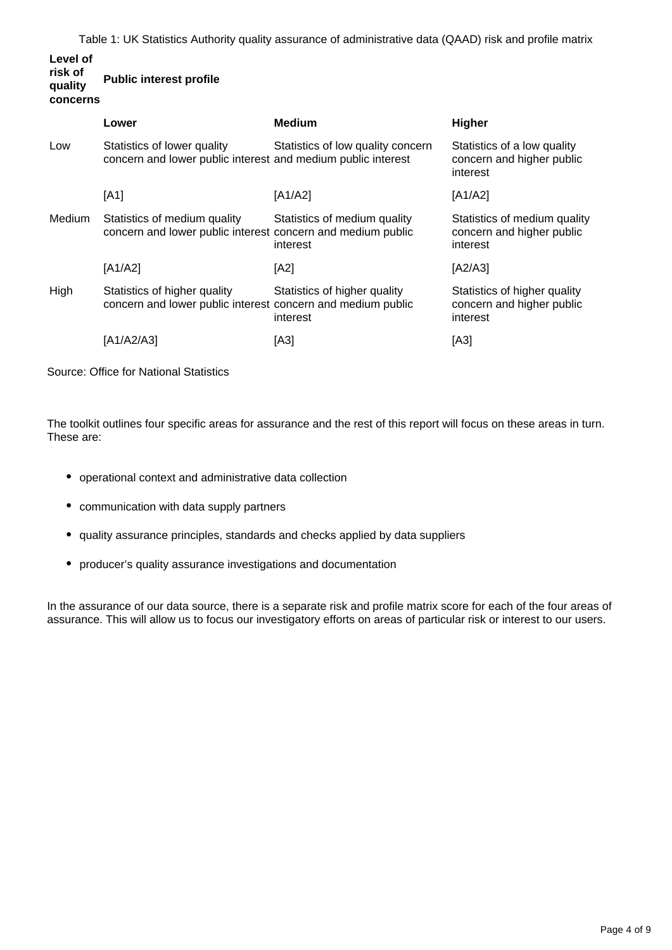Table 1: UK Statistics Authority quality assurance of administrative data (QAAD) risk and profile matrix

#### **Level of risk of quality concerns Public interest profile**

|        | Lower                                                                                       | <b>Medium</b>                            | Higher                                                                |
|--------|---------------------------------------------------------------------------------------------|------------------------------------------|-----------------------------------------------------------------------|
| Low    | Statistics of lower quality<br>concern and lower public interest and medium public interest | Statistics of low quality concern        | Statistics of a low quality<br>concern and higher public<br>interest  |
|        | [A1]                                                                                        | [A1/A2]                                  | [A1/A2]                                                               |
| Medium | Statistics of medium quality<br>concern and lower public interest concern and medium public | Statistics of medium quality<br>interest | Statistics of medium quality<br>concern and higher public<br>interest |
|        | [A1/A2]                                                                                     | [A2]                                     | [A2/A3]                                                               |
| High   | Statistics of higher quality<br>concern and lower public interest concern and medium public | Statistics of higher quality<br>interest | Statistics of higher quality<br>concern and higher public<br>interest |
|        | [A1/A2/A3]                                                                                  | [A3]                                     | [A3]                                                                  |

Source: Office for National Statistics

The toolkit outlines four specific areas for assurance and the rest of this report will focus on these areas in turn. These are:

- operational context and administrative data collection
- communication with data supply partners
- quality assurance principles, standards and checks applied by data suppliers
- producer's quality assurance investigations and documentation

In the assurance of our data source, there is a separate risk and profile matrix score for each of the four areas of assurance. This will allow us to focus our investigatory efforts on areas of particular risk or interest to our users.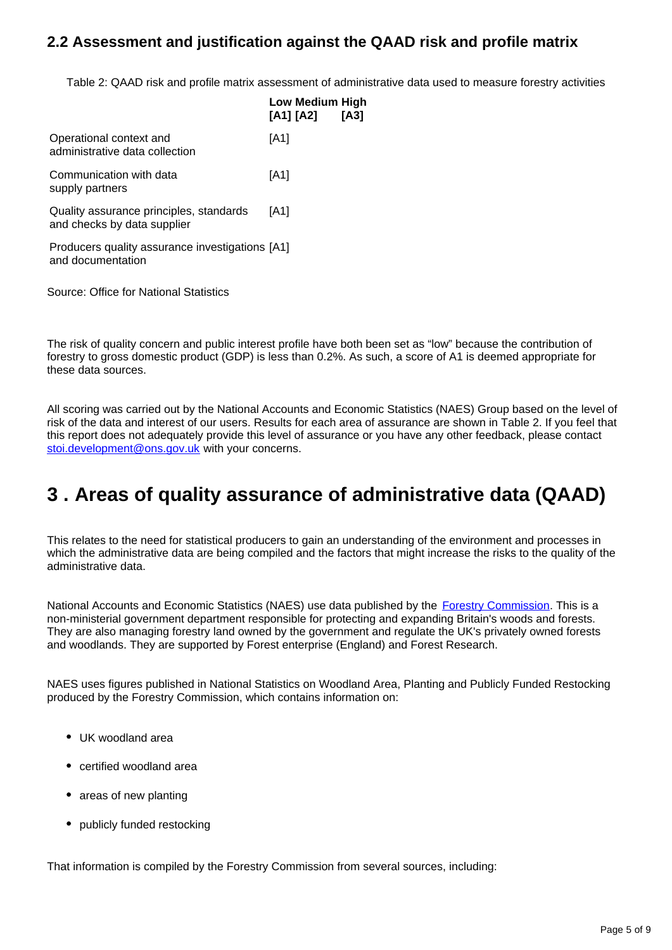#### **2.2 Assessment and justification against the QAAD risk and profile matrix**

Table 2: QAAD risk and profile matrix assessment of administrative data used to measure forestry activities

**High [A3]**

|                                                                        | <b>Low Medium</b><br>[A1] [A2] |
|------------------------------------------------------------------------|--------------------------------|
| Operational context and<br>administrative data collection              | [A1]                           |
| Communication with data<br>supply partners                             | [A1]                           |
| Quality assurance principles, standards<br>and checks by data supplier | [A1]                           |
| Producers quality assurance investigations [A1]<br>and documentation   |                                |
|                                                                        |                                |

Source: Office for National Statistics

The risk of quality concern and public interest profile have both been set as "low" because the contribution of forestry to gross domestic product (GDP) is less than 0.2%. As such, a score of A1 is deemed appropriate for these data sources.

All scoring was carried out by the National Accounts and Economic Statistics (NAES) Group based on the level of risk of the data and interest of our users. Results for each area of assurance are shown in Table 2. If you feel that this report does not adequately provide this level of assurance or you have any other feedback, please contact stoi.development@ons.gov.uk with your concerns.

### <span id="page-4-0"></span>**3 . Areas of quality assurance of administrative data (QAAD)**

This relates to the need for statistical producers to gain an understanding of the environment and processes in which the administrative data are being compiled and the factors that might increase the risks to the quality of the administrative data.

National Accounts and Economic Statistics (NAES) use data published by the **[Forestry Commission](https://www.forestry.gov.uk/)**. This is a non-ministerial government department responsible for protecting and expanding Britain's woods and forests. They are also managing forestry land owned by the government and regulate the UK's privately owned forests and woodlands. They are supported by Forest enterprise (England) and Forest Research.

NAES uses figures published in National Statistics on Woodland Area, Planting and Publicly Funded Restocking produced by the Forestry Commission, which contains information on:

- UK woodland area
- certified woodland area
- areas of new planting
- publicly funded restocking

That information is compiled by the Forestry Commission from several sources, including: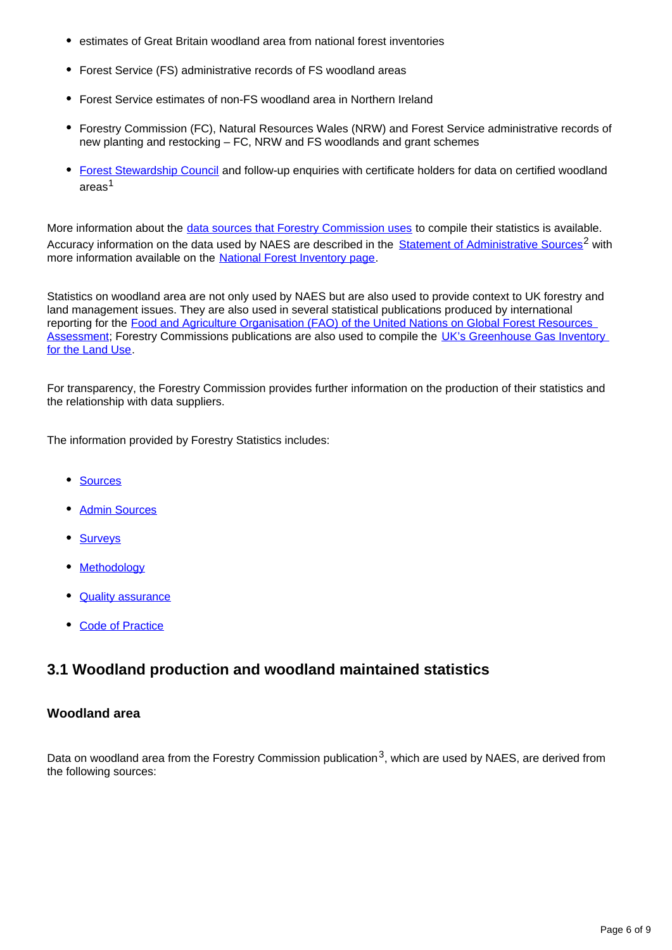- estimates of Great Britain woodland area from national forest inventories
- Forest Service (FS) administrative records of FS woodland areas
- Forest Service estimates of non-FS woodland area in Northern Ireland
- Forestry Commission (FC), Natural Resources Wales (NRW) and Forest Service administrative records of new planting and restocking – FC, NRW and FS woodlands and grant schemes
- [Forest Stewardship Council](http://www.fsc-uk.org/) and follow-up enquiries with certificate holders for data on certified woodland areas<sup>1</sup>

More information about the [data sources that Forestry Commission uses](https://www.forestresearch.gov.uk/tools-and-resources/statistics/about-our-statistics/code-of-practice/administrative-sources/) to compile their statistics is available. Accuracy information on the data used by NAES are described in the **[Statement of Administrative Sources](https://www.forestresearch.gov.uk/tools-and-resources/statistics/about-our-statistics/code-of-practice/administrative-sources/)<sup>2</sup> with** more information available on the [National Forest Inventory page.](https://www.forestresearch.gov.uk/tools-and-resources/national-forest-inventory/)

Statistics on woodland area are not only used by NAES but are also used to provide context to UK forestry and land management issues. They are also used in several statistical publications produced by international reporting for the [Food and Agriculture Organisation \(FAO\) of the United Nations on Global Forest Resources](http://C:%5CUsers%5Cbishoa%5CAppData%5CLocal%5CTemp%5Cnotes9DEAE5%5Cwww.fao.org%5Cforestry%5Cfra%5Cen)  [Assessment;](http://C:%5CUsers%5Cbishoa%5CAppData%5CLocal%5CTemp%5Cnotes9DEAE5%5Cwww.fao.org%5Cforestry%5Cfra%5Cen) Forestry Commissions publications are also used to compile the UK's Greenhouse Gas Inventory [for the Land Use.](http://unfccc.int/national_reports/annex_i_ghg_inventories/national_inventories_submissions/items/8108.php)

For transparency, the Forestry Commission provides further information on the production of their statistics and the relationship with data suppliers.

The information provided by Forestry Statistics includes:

- [Sources](https://www.forestresearch.gov.uk/tools-and-resources/statistics/forestry-statistics/forestry-statistics-2017/)
- [Admin Sources](https://www.forestresearch.gov.uk/tools-and-resources/statistics/about-our-statistics/code-of-practice/administrative-sources/)
- [Surveys](https://www.forestresearch.gov.uk/tools-and-resources/statistics/about-our-statistics/surveys/)
- [Methodology](https://www.forestresearch.gov.uk/tools-and-resources/statistics/about-our-statistics/methodology-and-outputs/)
- **[Quality assurance](https://www.forestresearch.gov.uk/tools-and-resources/statistics/about-our-statistics/code-of-practice/quality-of-official-statistics/)**
- [Code of Practice](https://www.statisticsauthority.gov.uk/osr/code-of-practice/)

#### **3.1 Woodland production and woodland maintained statistics**

#### **Woodland area**

Data on woodland area from the Forestry Commission publication<sup>3</sup>, which are used by NAES, are derived from the following sources: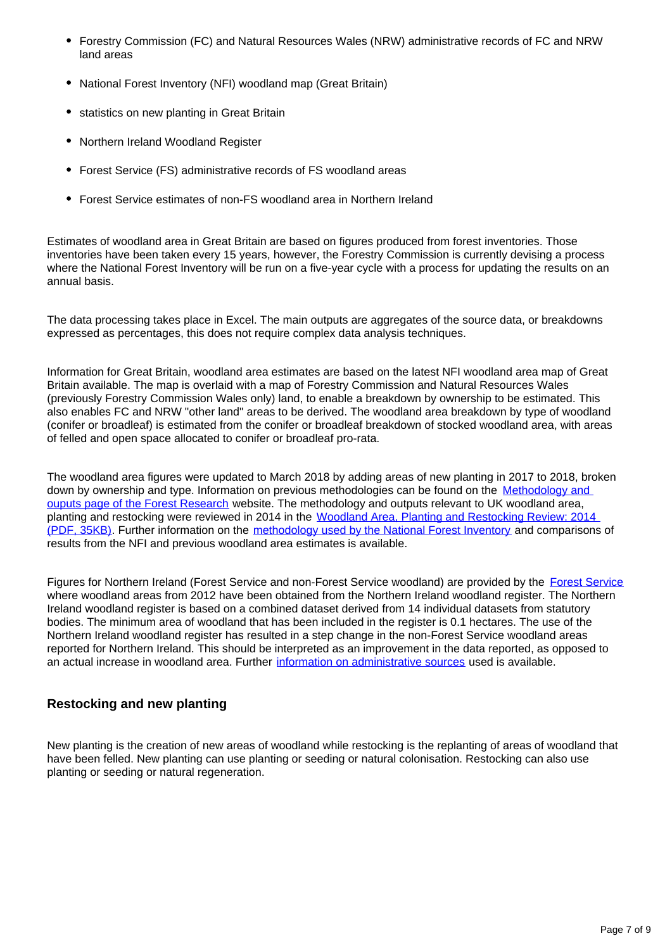- Forestry Commission (FC) and Natural Resources Wales (NRW) administrative records of FC and NRW land areas
- National Forest Inventory (NFI) woodland map (Great Britain)
- statistics on new planting in Great Britain
- Northern Ireland Woodland Register
- Forest Service (FS) administrative records of FS woodland areas
- Forest Service estimates of non-FS woodland area in Northern Ireland

Estimates of woodland area in Great Britain are based on figures produced from forest inventories. Those inventories have been taken every 15 years, however, the Forestry Commission is currently devising a process where the National Forest Inventory will be run on a five-year cycle with a process for updating the results on an annual basis.

The data processing takes place in Excel. The main outputs are aggregates of the source data, or breakdowns expressed as percentages, this does not require complex data analysis techniques.

Information for Great Britain, woodland area estimates are based on the latest NFI woodland area map of Great Britain available. The map is overlaid with a map of Forestry Commission and Natural Resources Wales (previously Forestry Commission Wales only) land, to enable a breakdown by ownership to be estimated. This also enables FC and NRW "other land" areas to be derived. The woodland area breakdown by type of woodland (conifer or broadleaf) is estimated from the conifer or broadleaf breakdown of stocked woodland area, with areas of felled and open space allocated to conifer or broadleaf pro-rata.

The woodland area figures were updated to March 2018 by adding areas of new planting in 2017 to 2018, broken down by ownership and type. Information on previous methodologies can be found on the [Methodology and](https://www.forestresearch.gov.uk/tools-and-resources/statistics/about-our-statistics/methodology-and-outputs/)  [ouputs page of the Forest Research](https://www.forestresearch.gov.uk/tools-and-resources/statistics/about-our-statistics/methodology-and-outputs/) website. The methodology and outputs relevant to UK woodland area, planting and restocking were reviewed in 2014 in the [Woodland Area, Planting and Restocking Review: 2014](https://www.forestresearch.gov.uk/documents/4425/mrwapr.pdf)  [\(PDF, 35KB\)](https://www.forestresearch.gov.uk/documents/4425/mrwapr.pdf). Further information on the [methodology used by the National Forest Inventory](https://www.forestresearch.gov.uk/tools-and-resources/national-forest-inventory/) and comparisons of results from the NFI and previous woodland area estimates is available.

Figures for Northern Ireland (Forest Service and non-Forest Service woodland) are provided by the [Forest Service](http://%5C%5CNsdata5%5CDATA_SOURCES%5CWorking%20Folders%5Czuzka%5C(http:%5Cwww.daera-ni.gov.uk%5Ctopics%5Cforestry).) where woodland areas from 2012 have been obtained from the Northern Ireland woodland register. The Northern Ireland woodland register is based on a combined dataset derived from 14 individual datasets from statutory bodies. The minimum area of woodland that has been included in the register is 0.1 hectares. The use of the Northern Ireland woodland register has resulted in a step change in the non-Forest Service woodland areas reported for Northern Ireland. This should be interpreted as an improvement in the data reported, as opposed to an actual increase in woodland area. Further [information on administrative sources](http://www.forestresearch.gov.uk/tools-and-resources/statistics/about-our-statistics/code-ofpractice/administrative-sources/) used is available.

#### **Restocking and new planting**

New planting is the creation of new areas of woodland while restocking is the replanting of areas of woodland that have been felled. New planting can use planting or seeding or natural colonisation. Restocking can also use planting or seeding or natural regeneration.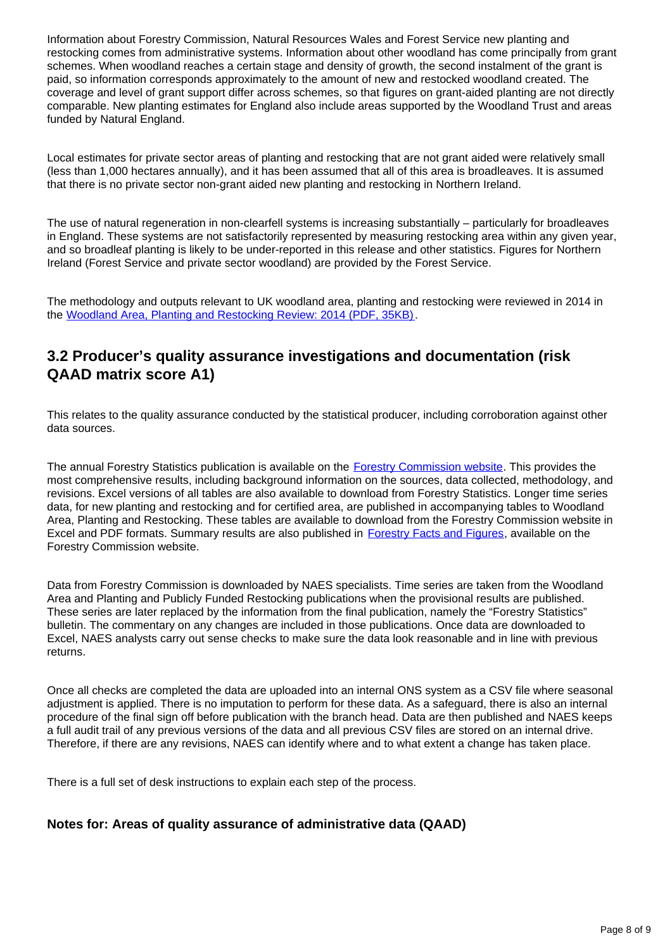Information about Forestry Commission, Natural Resources Wales and Forest Service new planting and restocking comes from administrative systems. Information about other woodland has come principally from grant schemes. When woodland reaches a certain stage and density of growth, the second instalment of the grant is paid, so information corresponds approximately to the amount of new and restocked woodland created. The coverage and level of grant support differ across schemes, so that figures on grant-aided planting are not directly comparable. New planting estimates for England also include areas supported by the Woodland Trust and areas funded by Natural England.

Local estimates for private sector areas of planting and restocking that are not grant aided were relatively small (less than 1,000 hectares annually), and it has been assumed that all of this area is broadleaves. It is assumed that there is no private sector non-grant aided new planting and restocking in Northern Ireland.

The use of natural regeneration in non-clearfell systems is increasing substantially – particularly for broadleaves in England. These systems are not satisfactorily represented by measuring restocking area within any given year, and so broadleaf planting is likely to be under-reported in this release and other statistics. Figures for Northern Ireland (Forest Service and private sector woodland) are provided by the Forest Service.

The methodology and outputs relevant to UK woodland area, planting and restocking were reviewed in 2014 in the [Woodland Area, Planting and Restocking Review: 2014 \(PDF, 35KB\).](https://www.forestresearch.gov.uk/documents/4425/mrwapr.pdf)

#### **3.2 Producer's quality assurance investigations and documentation (risk QAAD matrix score A1)**

This relates to the quality assurance conducted by the statistical producer, including corroboration against other data sources.

The annual Forestry Statistics publication is available on the [Forestry Commission website.](http://www.forestry.gov.uk/statistics) This provides the most comprehensive results, including background information on the sources, data collected, methodology, and revisions. Excel versions of all tables are also available to download from Forestry Statistics. Longer time series data, for new planting and restocking and for certified area, are published in accompanying tables to Woodland Area, Planting and Restocking. These tables are available to download from the Forestry Commission website in Excel and PDF formats. Summary results are also published in [Forestry Facts and Figures,](https://www.forestresearch.gov.uk/tools-and-resources/statistics/forestry-statistics/) available on the Forestry Commission website.

Data from Forestry Commission is downloaded by NAES specialists. Time series are taken from the Woodland Area and Planting and Publicly Funded Restocking publications when the provisional results are published. These series are later replaced by the information from the final publication, namely the "Forestry Statistics" bulletin. The commentary on any changes are included in those publications. Once data are downloaded to Excel, NAES analysts carry out sense checks to make sure the data look reasonable and in line with previous returns.

Once all checks are completed the data are uploaded into an internal ONS system as a CSV file where seasonal adjustment is applied. There is no imputation to perform for these data. As a safeguard, there is also an internal procedure of the final sign off before publication with the branch head. Data are then published and NAES keeps a full audit trail of any previous versions of the data and all previous CSV files are stored on an internal drive. Therefore, if there are any revisions, NAES can identify where and to what extent a change has taken place.

There is a full set of desk instructions to explain each step of the process.

#### **Notes for: Areas of quality assurance of administrative data (QAAD)**